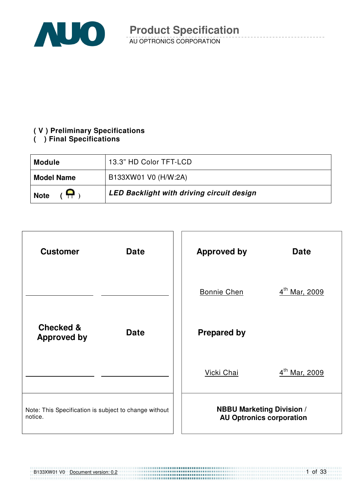

#### **( V ) Preliminary Specifications**

#### **( ) Final Specifications**

| <b>Module</b>                 | 13.3" HD Color TFT-LCD                    |
|-------------------------------|-------------------------------------------|
| <b>Model Name</b>             | B133XW01 V0 (H/W:2A)                      |
| $\overline{P}$<br><b>Note</b> | LED Backlight with driving circuit design |



B133XW01 V0 Document version: 0.2

1 of 33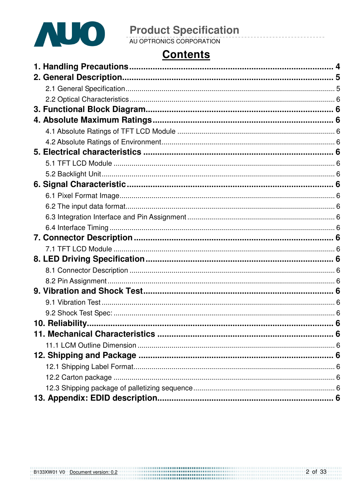

# **Product Specification**<br>AU OPTRONICS CORPORATION

# **Contents**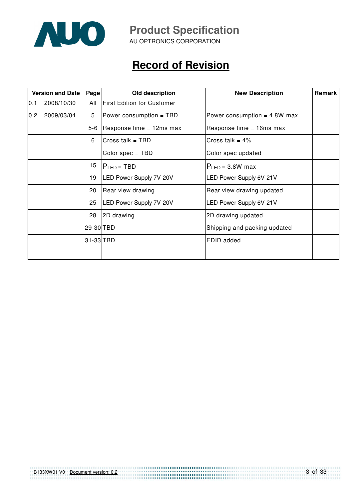

AU OPTRONICS CORPORATION

# **Record of Revision**

| <b>Version and Date</b><br>Old description<br>Page |                                      |         | <b>New Description</b>            | Remark                         |  |
|----------------------------------------------------|--------------------------------------|---------|-----------------------------------|--------------------------------|--|
| $ 0.1\rangle$                                      | 2008/10/30                           | All     | <b>First Edition for Customer</b> |                                |  |
| 0.2                                                | 2009/03/04                           | 5       | Power consumption = TBD           | Power consumption = $4.8W$ max |  |
|                                                    |                                      | $5 - 6$ | Response time $= 12$ ms max       | Response time $=$ 16ms max     |  |
|                                                    |                                      | 6       | Cross talk = TBD                  | Cross talk = $4\%$             |  |
|                                                    |                                      |         | Color spec = TBD                  | Color spec updated             |  |
|                                                    |                                      | 15      | $ P _{FD}$ = TBD                  | $P_{LED} = 3.8W$ max           |  |
|                                                    | 19<br><b>LED Power Supply 7V-20V</b> |         |                                   | LED Power Supply 6V-21V        |  |
|                                                    |                                      | 20      | Rear view drawing                 | Rear view drawing updated      |  |
|                                                    |                                      | 25      | LED Power Supply 7V-20V           | LED Power Supply 6V-21V        |  |
|                                                    | 28                                   |         | 2D drawing                        | 2D drawing updated             |  |
| 29-30 TBD                                          |                                      |         | Shipping and packing updated      |                                |  |
| $31-33$ TBD                                        |                                      |         |                                   | EDID added                     |  |
|                                                    |                                      |         |                                   |                                |  |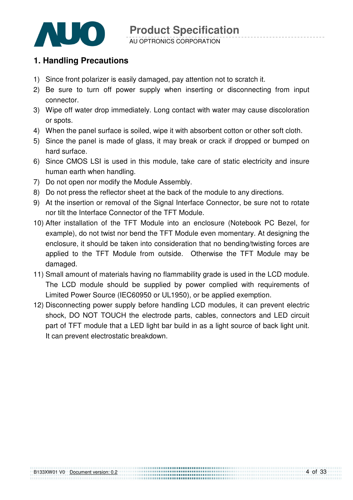

#### AU OPTRONICS CORPORATION

### **1. Handling Precautions**

- 1) Since front polarizer is easily damaged, pay attention not to scratch it.
- 2) Be sure to turn off power supply when inserting or disconnecting from input connector.
- 3) Wipe off water drop immediately. Long contact with water may cause discoloration or spots.
- 4) When the panel surface is soiled, wipe it with absorbent cotton or other soft cloth.
- 5) Since the panel is made of glass, it may break or crack if dropped or bumped on hard surface.
- 6) Since CMOS LSI is used in this module, take care of static electricity and insure human earth when handling.
- 7) Do not open nor modify the Module Assembly.
- 8) Do not press the reflector sheet at the back of the module to any directions.
- 9) At the insertion or removal of the Signal Interface Connector, be sure not to rotate nor tilt the Interface Connector of the TFT Module.
- 10) After installation of the TFT Module into an enclosure (Notebook PC Bezel, for example), do not twist nor bend the TFT Module even momentary. At designing the enclosure, it should be taken into consideration that no bending/twisting forces are applied to the TFT Module from outside. Otherwise the TFT Module may be damaged.
- 11) Small amount of materials having no flammability grade is used in the LCD module. The LCD module should be supplied by power complied with requirements of Limited Power Source (IEC60950 or UL1950), or be applied exemption.
- 12) Disconnecting power supply before handling LCD modules, it can prevent electric shock, DO NOT TOUCH the electrode parts, cables, connectors and LED circuit part of TFT module that a LED light bar build in as a light source of back light unit. It can prevent electrostatic breakdown.

...............................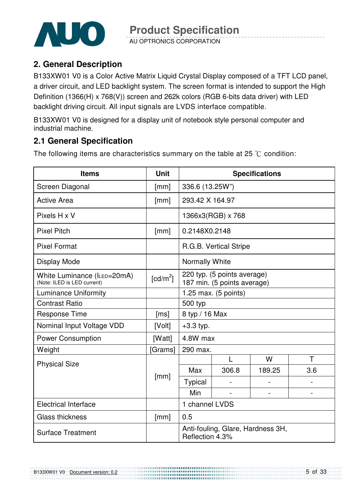

AU OPTRONICS CORPORATION

### **2. General Description**

B133XW01 V0 is a Color Active Matrix Liquid Crystal Display composed of a TFT LCD panel, a driver circuit, and LED backlight system. The screen format is intended to support the High Definition (1366(H) x 768(V)) screen and 262k colors (RGB 6-bits data driver) with LED backlight driving circuit. All input signals are LVDS interface compatible.

B133XW01 V0 is designed for a display unit of notebook style personal computer and industrial machine.

## **2.1 General Specification**

The following items are characteristics summary on the table at 25  $\degree$ C condition:

| <b>Items</b>                                               |                      | <b>Specifications</b> |                                                            |        |     |  |
|------------------------------------------------------------|----------------------|-----------------------|------------------------------------------------------------|--------|-----|--|
| Screen Diagonal                                            | [mm]                 |                       | 336.6 (13.25W")                                            |        |     |  |
| <b>Active Area</b>                                         | $\lceil mm \rceil$   | 293.42 X 164.97       |                                                            |        |     |  |
| Pixels H x V                                               |                      |                       | 1366x3(RGB) x 768                                          |        |     |  |
| <b>Pixel Pitch</b>                                         | [mm]                 | 0.2148X0.2148         |                                                            |        |     |  |
| <b>Pixel Format</b>                                        |                      |                       | R.G.B. Vertical Stripe                                     |        |     |  |
| Display Mode                                               |                      | <b>Normally White</b> |                                                            |        |     |  |
| White Luminance (ILED=20mA)<br>(Note: ILED is LED current) | [cd/m <sup>2</sup> ] |                       | 220 typ. (5 points average)<br>187 min. (5 points average) |        |     |  |
| <b>Luminance Uniformity</b>                                |                      |                       | 1.25 max. (5 points)                                       |        |     |  |
| <b>Contrast Ratio</b>                                      |                      | 500 typ               |                                                            |        |     |  |
| <b>Response Time</b>                                       | [ms]                 | 8 typ / 16 Max        |                                                            |        |     |  |
| Nominal Input Voltage VDD                                  | [Volt]               | $+3.3$ typ.           |                                                            |        |     |  |
| <b>Power Consumption</b>                                   | [Watt]               | 4.8W max              |                                                            |        |     |  |
| Weight                                                     | [Grams]              | 290 max.              |                                                            |        |     |  |
| <b>Physical Size</b>                                       |                      |                       | L                                                          | W      | T   |  |
|                                                            |                      | Max                   | 306.8                                                      | 189.25 | 3.6 |  |
|                                                            | [mm]                 | Typical               |                                                            |        |     |  |
|                                                            |                      | Min                   |                                                            |        |     |  |
| <b>Electrical Interface</b>                                |                      | 1 channel LVDS        |                                                            |        |     |  |
| <b>Glass thickness</b>                                     | [mm]                 | 0.5                   |                                                            |        |     |  |
| <b>Surface Treatment</b>                                   |                      | Reflection 4.3%       | Anti-fouling, Glare, Hardness 3H,                          |        |     |  |

.....................................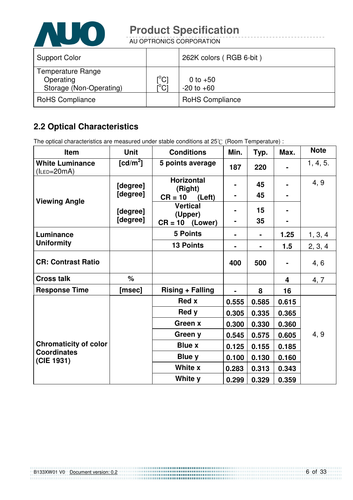

AU OPTRONICS CORPORATION

| <b>Support Color</b>                                             |                                 | 262K colors (RGB 6-bit)      |
|------------------------------------------------------------------|---------------------------------|------------------------------|
| <b>Temperature Range</b><br>Operating<br>Storage (Non-Operating) | $\rm \left[^{^{\circ}C}\right]$ | 0 to $+50$<br>$-20$ to $+60$ |
| <b>RoHS Compliance</b>                                           |                                 | <b>RoHS Compliance</b>       |

# **2.2 Optical Characteristics**

The optical characteristics are measured under stable conditions at 25°C (Room Temperature) :

| <b>Item</b>                                | <b>Unit</b>          | <b>Conditions</b>                                 | Min.           | Typ.     | Max.           | <b>Note</b> |
|--------------------------------------------|----------------------|---------------------------------------------------|----------------|----------|----------------|-------------|
| <b>White Luminance</b><br>$(l_{LED=20mA})$ | $[cd/m^2]$           | 5 points average                                  | 187            | 220      |                | 1, 4, 5.    |
|                                            | [degree]<br>[degree] | <b>Horizontal</b><br>(Right)                      |                | 45<br>45 | $\blacksquare$ | 4, 9        |
| <b>Viewing Angle</b>                       | [degree]<br>[degree] | $CR = 10$<br>(Left)<br><b>Vertical</b><br>(Upper) | $\blacksquare$ | 15<br>35 |                |             |
|                                            |                      | $CR = 10$ (Lower)                                 |                |          |                |             |
| Luminance<br><b>Uniformity</b>             |                      | <b>5 Points</b>                                   |                |          | 1.25           | 1, 3, 4     |
|                                            |                      | <b>13 Points</b>                                  |                |          | 1.5            | 2, 3, 4     |
| <b>CR: Contrast Ratio</b>                  |                      |                                                   | 400            | 500      |                | 4, 6        |
| <b>Cross talk</b>                          | %                    |                                                   |                |          | 4              | 4, 7        |
| <b>Response Time</b>                       | [msec]               | <b>Rising + Falling</b>                           |                | 8        | 16             |             |
|                                            |                      | <b>Red x</b>                                      | 0.555          | 0.585    | 0.615          |             |
|                                            |                      | Red y                                             | 0.305          | 0.335    | 0.365          |             |
|                                            |                      | Green x                                           | 0.300          | 0.330    | 0.360          |             |
|                                            |                      | Green y                                           | 0.545          | 0.575    | 0.605          | 4, 9        |
| <b>Chromaticity of color</b>               |                      | <b>Blue x</b>                                     | 0.125          | 0.155    | 0.185          |             |
| <b>Coordinates</b><br>(CIE 1931)           |                      | Blue y                                            | 0.100          | 0.130    | 0.160          |             |
|                                            |                      | White x                                           | 0.283          | 0.313    | 0.343          |             |
|                                            |                      | White y                                           | 0.299          | 0.329    | 0.359          |             |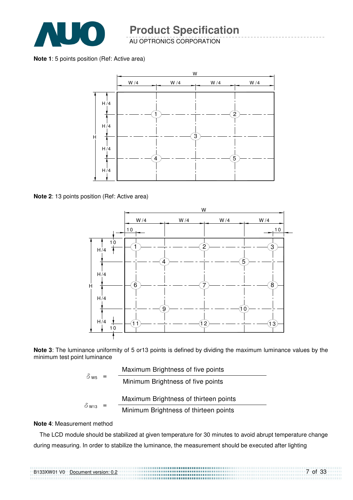

AU OPTRONICS CORPORATION

**Note 1**: 5 points position (Ref: Active area)



**Note 2**: 13 points position (Ref: Active area)



**Note 3**: The luminance uniformity of 5 or13 points is defined by dividing the maximum luminance values by the minimum test point luminance

| $\delta$ ws  |  | Maximum Brightness of five points     |
|--------------|--|---------------------------------------|
|              |  | Minimum Brightness of five points     |
|              |  | Maximum Brightness of thirteen points |
| $\delta$ W13 |  | Minimum Brightness of thirteen points |

#### **Note 4**: Measurement method

The LCD module should be stabilized at given temperature for 30 minutes to avoid abrupt temperature change during measuring. In order to stabilize the luminance, the measurement should be executed after lighting

| B133XW01 V0 Document version: 0.2 | 7 of 33 |
|-----------------------------------|---------|
|                                   |         |
|                                   |         |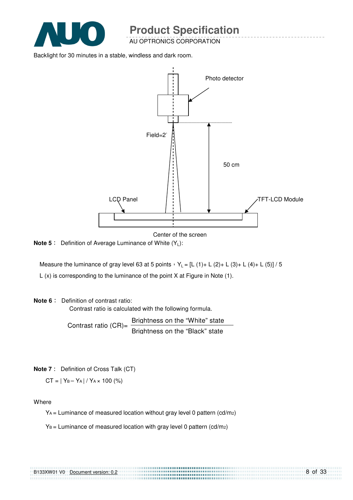

AU OPTRONICS CORPORATION

Backlight for 30 minutes in a stable, windless and dark room.



Center of the screen

,,,,,,,,,,,,,,,,,,,,,,,,,,,,,,,,,,,,,

**Note 5** : Definition of Average Luminance of White (Y<sub>L</sub>):

Measure the luminance of gray level 63 at 5 points  $Y_L = [L (1) + L (2) + L (3) + L (4) + L (5)] / 5$ L (x) is corresponding to the luminance of the point X at Figure in Note (1).

#### **Note 6** : Definition of contrast ratio:

Contrast ratio is calculated with the following formula.

Contrast ratio  $(CR)$ = Brightness on the "White" state Brightness on the "Black" state

**Note 7** : Definition of Cross Talk (CT)

 $CT = |Y_B - Y_A| / Y_A \times 100$  (%)

Where

 $Y_A$  = Luminance of measured location without gray level 0 pattern (cd/m<sub>2</sub>)

 $Y_B =$  Luminance of measured location with gray level 0 pattern (cd/m2)

| B133XW01 V0 | Document version: 0.2 |
|-------------|-----------------------|
|             |                       |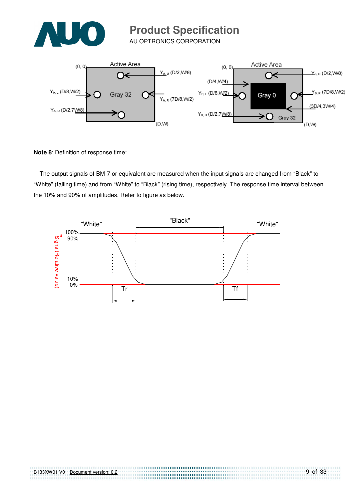

AU OPTRONICS CORPORATION



**Note 8**: Definition of response time:

The output signals of BM-7 or equivalent are measured when the input signals are changed from "Black" to "White" (falling time) and from "White" to "Black" (rising time), respectively. The response time interval between the 10% and 90% of amplitudes. Refer to figure as below.

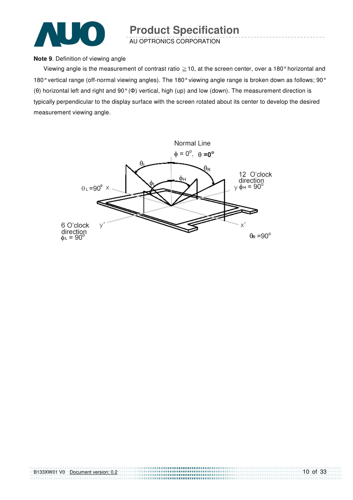

AU OPTRONICS CORPORATION

#### **Note 9**. Definition of viewing angle

Viewing angle is the measurement of contrast ratio  $\geq$  10, at the screen center, over a 180° horizontal and 180° vertical range (off-normal viewing angles). The 180° viewing angle range is broken down as follows; 90° (θ) horizontal left and right and 90° (Φ) vertical, high (up) and low (down). The measurement direction is typically perpendicular to the display surface with the screen rotated about its center to develop the desired measurement viewing angle.

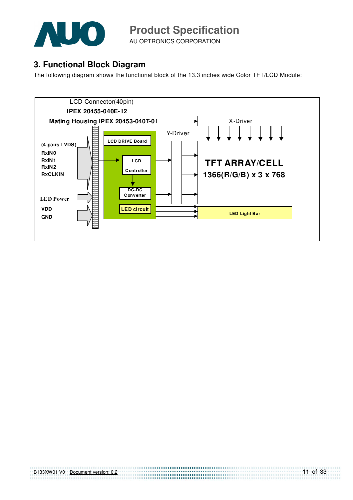

AU OPTRONICS CORPORATION

### **3. Functional Block Diagram**

The following diagram shows the functional block of the 13.3 inches wide Color TFT/LCD Module:



| B133XW01 V0 | Document version: 0.2 |  |
|-------------|-----------------------|--|
|             |                       |  |
|             |                       |  |

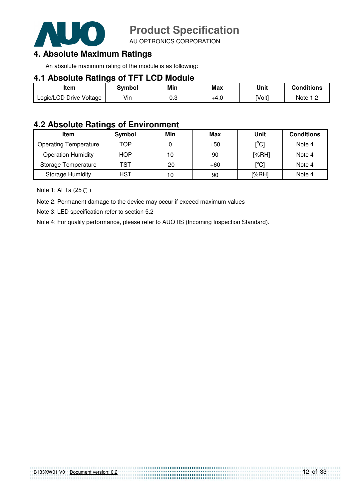

AU OPTRONICS CORPORATION

### **4. Absolute Maximum Ratings**

An absolute maximum rating of the module is as following:

#### **4.1 Absolute Ratings of TFT LCD Module**

| Item                    | <b>Symbol</b> | Min    | <b>Max</b> | Unit   | <b>Conditions</b> |
|-------------------------|---------------|--------|------------|--------|-------------------|
| Logic/LCD Drive Voltage | Vin           | $-0.3$ | +4.0       | [Volt] | Note $1,2$        |

#### **4.2 Absolute Ratings of Environment**

| <b>Item</b>                  | Symbol     | Min   | Max   | Unit                                    | <b>Conditions</b> |
|------------------------------|------------|-------|-------|-----------------------------------------|-------------------|
| <b>Operating Temperature</b> | TOP        |       | $+50$ | $\mathsf{I}^\circ\mathsf{C} \mathsf{I}$ | Note 4            |
| <b>Operation Humidity</b>    | <b>HOP</b> | 10    | 90    | [%RH]                                   | Note 4            |
| Storage Temperature          | TST        | $-20$ | $+60$ | $\mathsf{I}^\circ\mathsf{C} \mathsf{I}$ | Note 4            |
| <b>Storage Humidity</b>      | HST        | 10    | 90    | [%RH]                                   | Note 4            |

Note 1: At Ta (25°C)

Note 2: Permanent damage to the device may occur if exceed maximum values

Note 3: LED specification refer to section 5.2

Note 4: For quality performance, please refer to AUO IIS (Incoming Inspection Standard).

|  | B133XW01 V0 Document version: 0.2 |  |
|--|-----------------------------------|--|
|  |                                   |  |
|  |                                   |  |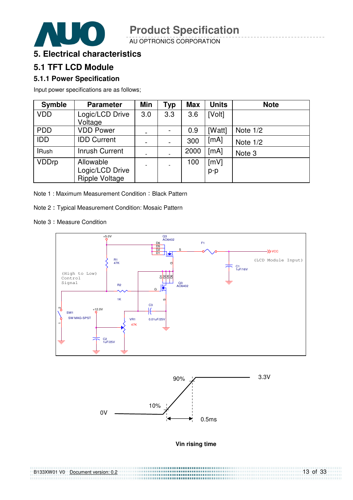

AU OPTRONICS CORPORATION



### **5. Electrical characteristics**

### **5.1 TFT LCD Module**

#### **5.1.1 Power Specification**

Input power specifications are as follows;

| <b>Symble</b> | <b>Parameter</b>                         | Min                      | Typ | <b>Max</b> | <b>Units</b> | <b>Note</b> |
|---------------|------------------------------------------|--------------------------|-----|------------|--------------|-------------|
| <b>VDD</b>    | Logic/LCD Drive                          | 3.0                      | 3.3 | 3.6        | [Volt]       |             |
|               | Voltage                                  |                          |     |            |              |             |
| <b>PDD</b>    | <b>VDD Power</b>                         | -                        |     | 0.9        | [Watt]       | Note $1/2$  |
| <b>IDD</b>    | <b>IDD Current</b>                       | $\blacksquare$           |     | 300        | [mA]         | Note $1/2$  |
| <b>IRush</b>  | <b>Inrush Current</b>                    | $\overline{\phantom{a}}$ |     | 2000       | [mA]         | Note 3      |
| <b>VDDrp</b>  | Allowable                                | $\overline{\phantom{a}}$ |     | 100        | [mV]         |             |
|               |                                          |                          |     |            | p-p          |             |
|               | Logic/LCD Drive<br><b>Ripple Voltage</b> |                          |     |            |              |             |

Note 1: Maximum Measurement Condition: Black Pattern

Note 2: Typical Measurement Condition: Mosaic Pattern

Note 3: Measure Condition



![](_page_12_Figure_12.jpeg)

#### **Vin rising time**

| B133XW01 V0 Document version: 0.2 | $13$ of 33 |
|-----------------------------------|------------|
|                                   |            |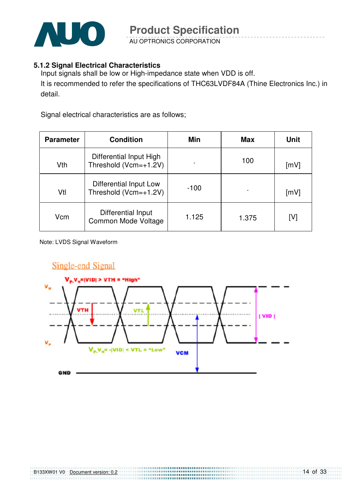![](_page_13_Picture_0.jpeg)

AU OPTRONICS CORPORATION

#### **5.1.2 Signal Electrical Characteristics**

Input signals shall be low or High-impedance state when VDD is off. It is recommended to refer the specifications of THC63LVDF84A (Thine Electronics Inc.) in detail.

Signal electrical characteristics are as follows;

| <b>Parameter</b> | <b>Condition</b>                                 | Min    | Max   | <b>Unit</b> |
|------------------|--------------------------------------------------|--------|-------|-------------|
| Vth              | Differential Input High<br>Threshold (Vcm=+1.2V) |        | 100   | [mV]        |
| Vtl              | Differential Input Low<br>Threshold (Vcm=+1.2V)  | $-100$ |       | [mV]        |
| Vcm              | Differential Input<br>Common Mode Voltage        | 1.125  | 1.375 | [V]         |

Note: LVDS Signal Waveform

![](_page_13_Figure_8.jpeg)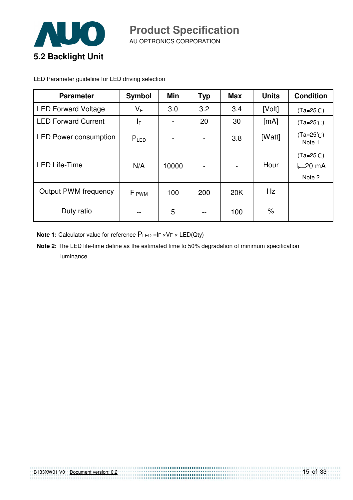![](_page_14_Picture_0.jpeg)

AU OPTRONICS CORPORATION **Product Specification** 

LED Parameter guideline for LED driving selection

| <b>Parameter</b>             | <b>Symbol</b>    | Min                      | <b>Typ</b>                   | <b>Max</b> | <b>Units</b> | <b>Condition</b>                            |
|------------------------------|------------------|--------------------------|------------------------------|------------|--------------|---------------------------------------------|
| <b>LED Forward Voltage</b>   | $V_F$            | 3.0                      | 3.2                          | 3.4        | [Volt]       | $(Ta=25^{\circ}C)$                          |
| <b>LED Forward Current</b>   | ΙF               | $\overline{\phantom{a}}$ | 20                           | 30         | [mA]         | $(Ta=25^{\circ}C)$                          |
| <b>LED Power consumption</b> | $P_{LED}$        |                          | $\qquad \qquad \blacksquare$ | 3.8        | [Watt]       | $(Ta=25^{\circ}C)$<br>Note 1                |
| <b>LED Life-Time</b>         | N/A              | 10000                    | $\overline{\phantom{0}}$     |            | Hour         | $(Ta=25^{\circ}C)$<br>$I_F=20$ mA<br>Note 2 |
| <b>Output PWM frequency</b>  | F <sub>PWM</sub> | 100                      | 200                          | 20K        | Hz           |                                             |
| Duty ratio                   | --               | 5                        | --                           | 100        | $\%$         |                                             |

**Note 1:** Calculator value for reference  $P_{LED}$  =IF ×VF × LED(Qty)

**Note 2:** The LED life-time define as the estimated time to 50% degradation of minimum specification luminance.

|  | B133XW01 V0 Document version: 0.2 |  |
|--|-----------------------------------|--|
|  |                                   |  |
|  |                                   |  |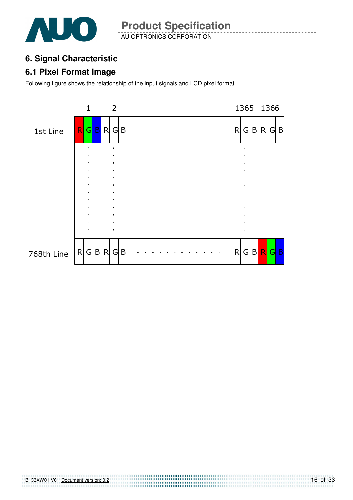![](_page_15_Picture_0.jpeg)

AU OPTRONICS CORPORATION **Product Specification** 

# **6. Signal Characteristic**

### **6.1 Pixel Format Image**

Following figure shows the relationship of the input signals and LCD pixel format.

![](_page_15_Figure_5.jpeg)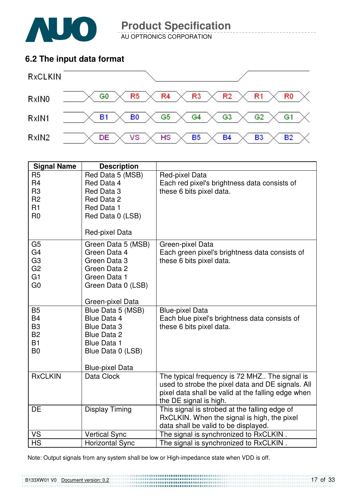![](_page_16_Picture_0.jpeg)

AU OPTRONICS CORPORATION

### **6.2 The input data format**

![](_page_16_Figure_4.jpeg)

| <b>Signal Name</b> | <b>Description</b>     |                                                                                              |
|--------------------|------------------------|----------------------------------------------------------------------------------------------|
| R <sub>5</sub>     | Red Data 5 (MSB)       | Red-pixel Data                                                                               |
| R <sub>4</sub>     | Red Data 4             | Each red pixel's brightness data consists of                                                 |
| R <sub>3</sub>     | Red Data 3             | these 6 bits pixel data.                                                                     |
| R <sub>2</sub>     | Red Data 2             |                                                                                              |
| R <sub>1</sub>     | Red Data 1             |                                                                                              |
| R <sub>0</sub>     | Red Data 0 (LSB)       |                                                                                              |
|                    | Red-pixel Data         |                                                                                              |
| G <sub>5</sub>     | Green Data 5 (MSB)     | Green-pixel Data                                                                             |
| G <sub>4</sub>     | Green Data 4           | Each green pixel's brightness data consists of                                               |
| G <sub>3</sub>     | Green Data 3           | these 6 bits pixel data.                                                                     |
| G <sub>2</sub>     | Green Data 2           |                                                                                              |
| G <sub>1</sub>     | Green Data 1           |                                                                                              |
| G <sub>0</sub>     | Green Data 0 (LSB)     |                                                                                              |
|                    | Green-pixel Data       |                                                                                              |
| <b>B5</b>          | Blue Data 5 (MSB)      | <b>Blue-pixel Data</b>                                                                       |
| <b>B4</b>          | Blue Data 4            | Each blue pixel's brightness data consists of                                                |
| B <sub>3</sub>     | <b>Blue Data 3</b>     | these 6 bits pixel data.                                                                     |
| <b>B2</b>          | <b>Blue Data 2</b>     |                                                                                              |
| <b>B1</b>          | <b>Blue Data 1</b>     |                                                                                              |
| B <sub>0</sub>     | Blue Data 0 (LSB)      |                                                                                              |
|                    |                        |                                                                                              |
|                    | <b>Blue-pixel Data</b> |                                                                                              |
| <b>RxCLKIN</b>     | Data Clock             | The typical frequency is 72 MHZ The signal is                                                |
|                    |                        | used to strobe the pixel data and DE signals. All                                            |
|                    |                        | pixel data shall be valid at the falling edge when                                           |
| DE                 |                        | the DE signal is high.                                                                       |
|                    | <b>Display Timing</b>  | This signal is strobed at the falling edge of<br>RxCLKIN. When the signal is high, the pixel |
|                    |                        | data shall be valid to be displayed.                                                         |
| VS                 | <b>Vertical Sync</b>   | The signal is synchronized to RxCLKIN.                                                       |
| <b>HS</b>          | <b>Horizontal Sync</b> | The signal is synchronized to RxCLKIN.                                                       |

Note: Output signals from any system shall be low or High-impedance state when VDD is off.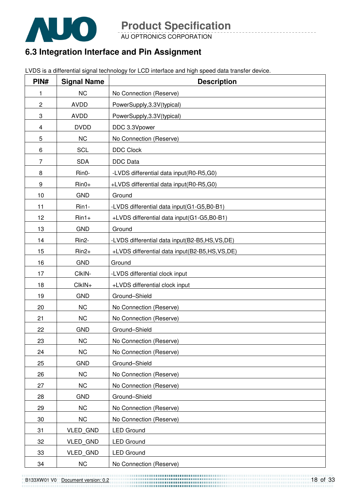![](_page_17_Picture_0.jpeg)

AU OPTRONICS CORPORATION

# **6.3 Integration Interface and Pin Assignment**

LVDS is a differential signal technology for LCD interface and high speed data transfer device.

| PIN#           | <b>Signal Name</b> | <b>Description</b>                            |
|----------------|--------------------|-----------------------------------------------|
| 1              | <b>NC</b>          | No Connection (Reserve)                       |
| $\overline{c}$ | <b>AVDD</b>        | PowerSupply, 3.3V(typical)                    |
| 3              | <b>AVDD</b>        | PowerSupply, 3.3V(typical)                    |
| 4              | <b>DVDD</b>        | DDC 3.3Vpower                                 |
| 5              | <b>NC</b>          | No Connection (Reserve)                       |
| 6              | <b>SCL</b>         | <b>DDC Clock</b>                              |
| $\overline{7}$ | <b>SDA</b>         | <b>DDC</b> Data                               |
| 8              | Rin0-              | -LVDS differential data input(R0-R5,G0)       |
| 9              | $Rin0+$            | +LVDS differential data input(R0-R5,G0)       |
| 10             | <b>GND</b>         | Ground                                        |
| 11             | Rin1-              | -LVDS differential data input(G1-G5,B0-B1)    |
| 12             | $Rin1+$            | +LVDS differential data input(G1-G5,B0-B1)    |
| 13             | <b>GND</b>         | Ground                                        |
| 14             | Rin2-              | -LVDS differential data input(B2-B5,HS,VS,DE) |
| 15             | $Rin2+$            | +LVDS differential data input(B2-B5,HS,VS,DE) |
| 16             | <b>GND</b>         | Ground                                        |
| 17             | CIkIN-             | -LVDS differential clock input                |
| 18             | CIkIN+             | +LVDS differential clock input                |
| 19             | <b>GND</b>         | Ground-Shield                                 |
| 20             | <b>NC</b>          | No Connection (Reserve)                       |
| 21             | <b>NC</b>          | No Connection (Reserve)                       |
| 22             | <b>GND</b>         | Ground-Shield                                 |
| 23             | <b>NC</b>          | No Connection (Reserve)                       |
| 24             | <b>NC</b>          | No Connection (Reserve)                       |
| 25             | <b>GND</b>         | Ground-Shield                                 |
| 26             | <b>NC</b>          | No Connection (Reserve)                       |
| 27             | NC                 | No Connection (Reserve)                       |
| 28             | <b>GND</b>         | Ground-Shield                                 |
| 29             | <b>NC</b>          | No Connection (Reserve)                       |
| 30             | <b>NC</b>          | No Connection (Reserve)                       |
| 31             | <b>VLED GND</b>    | <b>LED Ground</b>                             |
| 32             | <b>VLED GND</b>    | <b>LED Ground</b>                             |
| 33             | <b>VLED GND</b>    | <b>LED Ground</b>                             |
| 34             | NC                 | No Connection (Reserve)                       |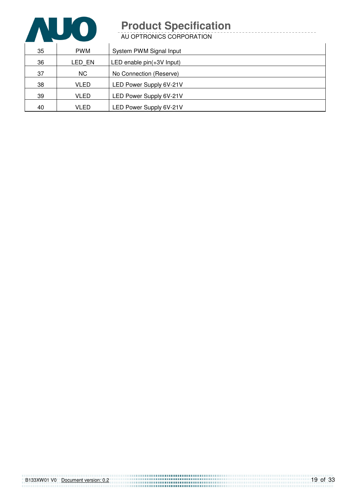![](_page_18_Picture_0.jpeg)

AU OPTRONICS CORPORATION

| 35 | <b>PWM</b> | System PWM Signal Input     |
|----|------------|-----------------------------|
| 36 | LED EN     | LED enable $pin(+3V$ Input) |
| 37 | <b>NC</b>  | No Connection (Reserve)     |
| 38 | VLED       | LED Power Supply 6V-21V     |
| 39 | VLED       | LED Power Supply 6V-21V     |
| 40 | VLED       | LED Power Supply 6V-21V     |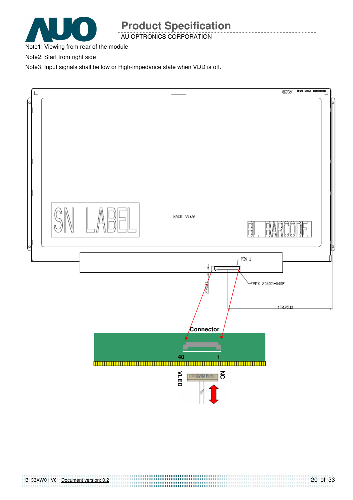![](_page_19_Picture_0.jpeg)

AU OPTRONICS CORPORATION

Note1: Viewing from rear of the module

Note2: Start from right side

Note3: Input signals shall be low or High-impedance state when VDD is off.

![](_page_19_Figure_6.jpeg)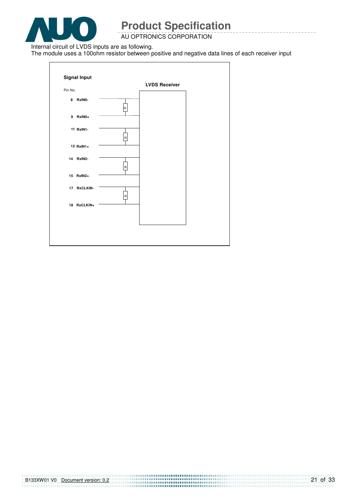![](_page_20_Picture_0.jpeg)

AU OPTRONICS CORPORATION

Internal circuit of LVDS inputs are as following.

The module uses a 100ohm resistor between positive and negative data lines of each receiver input

![](_page_20_Figure_5.jpeg)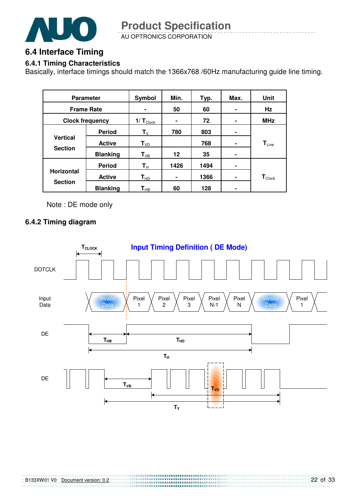![](_page_21_Picture_0.jpeg)

AU OPTRONICS CORPORATION **Product Specification** 

### **6.4 Interface Timing**

#### **6.4.1 Timing Characteristics**

Basically, interface timings should match the 1366x768 /60Hz manufacturing guide line timing.

| <b>Parameter</b>                    |                 | Symbol                     | Min.            | Typ. | Max.           | Unit                        |
|-------------------------------------|-----------------|----------------------------|-----------------|------|----------------|-----------------------------|
| <b>Frame Rate</b>                   |                 | $\blacksquare$             | 50              | 60   |                | Hz                          |
| <b>Clock frequency</b>              |                 | 1/ $T_{\text{Cl$           |                 | 72   |                | <b>MHz</b>                  |
|                                     | <b>Period</b>   | ${\sf T}_{\lor}$           | 780             | 803  | ۰              |                             |
| <b>Vertical</b><br><b>Section</b>   | <b>Active</b>   | $T_{VD}$                   |                 | 768  | $\blacksquare$ | $T_{Line}$                  |
|                                     | <b>Blanking</b> | $T_{VB}$                   | 12 <sup>2</sup> | 35   | ۰              |                             |
|                                     | <b>Period</b>   | $T_{\rm H}$                | 1426            | 1494 | ۰              |                             |
| <b>Horizontal</b><br><b>Section</b> | <b>Active</b>   | $T_{HD}$                   | ۰               | 1366 | ۰              | $\mathbf{T}_{\text{Clock}}$ |
|                                     | <b>Blanking</b> | $\mathsf{T}_{\mathsf{HB}}$ | 60              | 128  |                |                             |

Note : DE mode only

#### **6.4.2 Timing diagram**

![](_page_21_Figure_8.jpeg)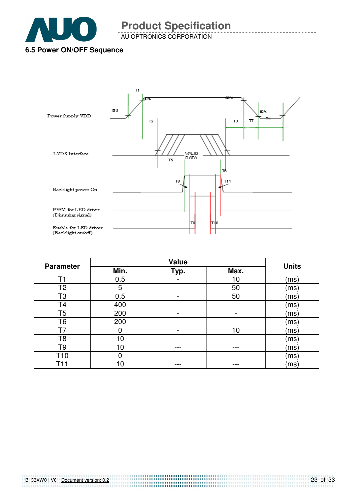![](_page_22_Picture_0.jpeg)

AU OPTRONICS CORPORATION

# **6.5 Power ON/OFF Sequence**

![](_page_22_Figure_4.jpeg)

|                  | <b>Value</b> |      |      | <b>Units</b> |  |
|------------------|--------------|------|------|--------------|--|
| <b>Parameter</b> | Min.         | Typ. | Max. |              |  |
| T1               | 0.5          |      | 10   | (ms`         |  |
| T2               | 5            |      | 50   | (msː         |  |
| T3               | 0.5          | -    | 50   | (ms`         |  |
| T4               | 400          |      |      | (ms`         |  |
| T5               | 200          |      |      | (ms`         |  |
| T <sub>6</sub>   | 200          |      | -    | (ms)         |  |
|                  | 0            |      | 10   | (msː         |  |
| T8               | 10           |      |      | (msː         |  |
| Т9               | 10           |      |      | (ms)         |  |
| T10              | 0            | ---  | --   | (ms)         |  |
|                  | 10           |      |      | (msː         |  |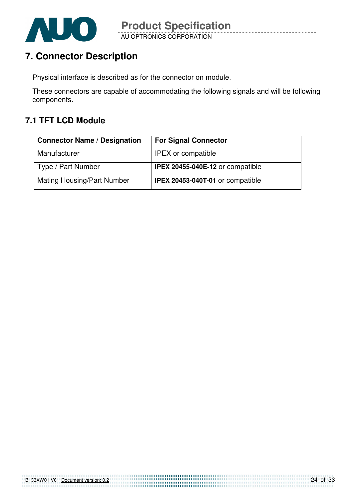![](_page_23_Picture_0.jpeg)

# **7. Connector Description**

Physical interface is described as for the connector on module.

These connectors are capable of accommodating the following signals and will be following components.

### **7.1 TFT LCD Module**

| <b>Connector Name / Designation</b> | <b>For Signal Connector</b>             |
|-------------------------------------|-----------------------------------------|
| Manufacturer                        | <b>IPEX</b> or compatible               |
| Type / Part Number                  | <b>IPEX 20455-040E-12 or compatible</b> |
| <b>Mating Housing/Part Number</b>   | <b>IPEX 20453-040T-01 or compatible</b> |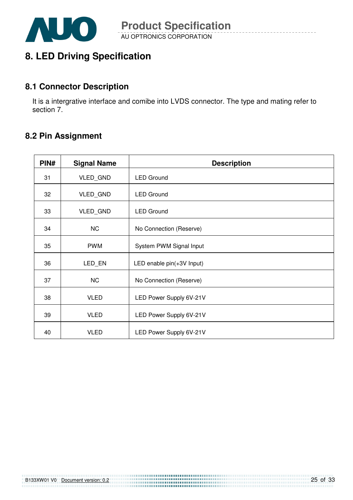![](_page_24_Picture_0.jpeg)

# **8. LED Driving Specification**

### **8.1 Connector Description**

It is a intergrative interface and comibe into LVDS connector. The type and mating refer to section 7.

### **8.2 Pin Assignment**

| PIN# | <b>Signal Name</b> | <b>Description</b>        |
|------|--------------------|---------------------------|
| 31   | VLED_GND           | <b>LED Ground</b>         |
| 32   | VLED_GND           | <b>LED Ground</b>         |
| 33   | VLED_GND           | <b>LED Ground</b>         |
| 34   | <b>NC</b>          | No Connection (Reserve)   |
| 35   | <b>PWM</b>         | System PWM Signal Input   |
| 36   | LED_EN             | LED enable pin(+3V Input) |
| 37   | <b>NC</b>          | No Connection (Reserve)   |
| 38   | <b>VLED</b>        | LED Power Supply 6V-21V   |
| 39   | <b>VLED</b>        | LED Power Supply 6V-21V   |
| 40   | <b>VLED</b>        | LED Power Supply 6V-21V   |

B133XW01 V0 Document version: 0.2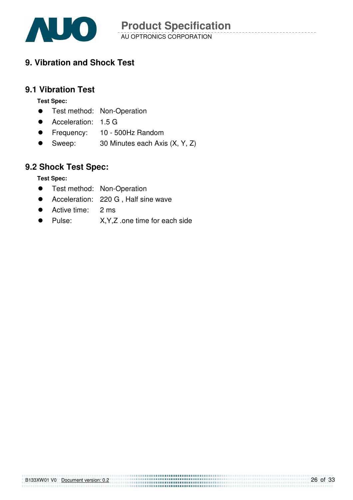![](_page_25_Picture_0.jpeg)

# **9. Vibration and Shock Test**

#### **9.1 Vibration Test**

**Test Spec:** 

- **•** Test method: Non-Operation
- Acceleration: 1.5 G
- **•** Frequency: 10 500Hz Random
- Sweep: 30 Minutes each Axis (X, Y, Z)

### **9.2 Shock Test Spec:**

**Test Spec:** 

- **•** Test method: Non-Operation
- Acceleration: 220 G . Half sine wave
- Active time: 2 ms
- Pulse: X,Y,Z .one time for each side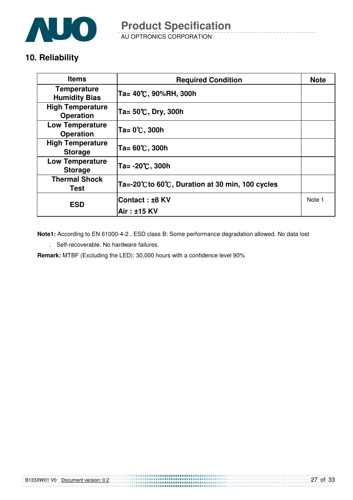![](_page_26_Picture_0.jpeg)

AU OPTRONICS CORPORATION **Product Specification** 

# **10. Reliability**

| <b>Items</b>                                | <b>Required Condition</b>                     | <b>Note</b> |
|---------------------------------------------|-----------------------------------------------|-------------|
| <b>Temperature</b><br><b>Humidity Bias</b>  | Ta= 40℃, 90%RH, 300h                          |             |
| <b>High Temperature</b><br><b>Operation</b> | Ta= 50℃, Dry, 300h                            |             |
| <b>Low Temperature</b><br><b>Operation</b>  | Ta= 0℃, 300h                                  |             |
| <b>High Temperature</b><br><b>Storage</b>   | Ta= 60℃, 300h                                 |             |
| <b>Low Temperature</b><br><b>Storage</b>    | Ta= -20℃, 300h                                |             |
| <b>Thermal Shock</b><br>Test                | Ta=-20℃to 60℃, Duration at 30 min, 100 cycles |             |
| <b>ESD</b>                                  | lContact : ±8 KV                              | Note 1      |
|                                             | Air : ±15 KV                                  |             |

**Note1:** According to EN 61000-4-2 , ESD class B: Some performance degradation allowed. No data lost

. Self-recoverable. No hardware failures.

**Remark:** MTBF (Excluding the LED): 30,000 hours with a confidence level 90%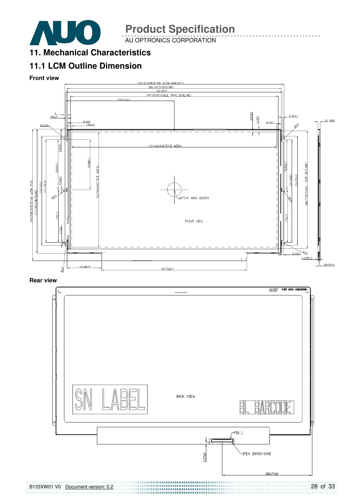![](_page_27_Picture_0.jpeg)

AU OPTRONICS CORPORATION

**11. Mechanical Characteristics** 

# **11.1 LCM Outline Dimension**

**Front view** 

![](_page_27_Figure_6.jpeg)

**Rear view** 

![](_page_27_Picture_8.jpeg)

28 of 33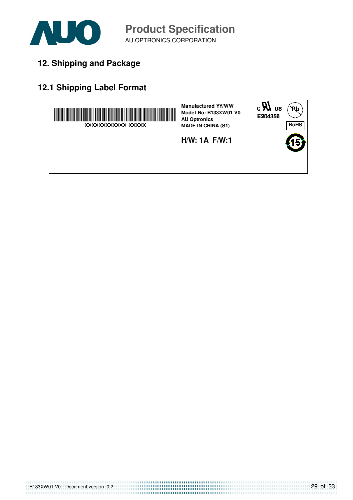![](_page_28_Picture_0.jpeg)

**12. Shipping and Package**

# **12.1 Shipping Label Format**

![](_page_28_Figure_4.jpeg)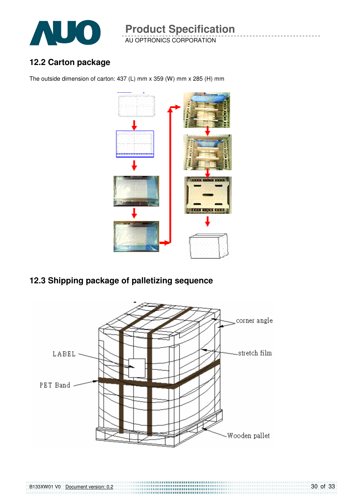![](_page_29_Picture_0.jpeg)

AU OPTRONICS CORPORATION **Product Specification** 

### **12.2 Carton package**

B133XW01 V0 Document version: 0.2

The outside dimension of carton: 437 (L) mm x 359 (W) mm x 285 (H) mm

![](_page_29_Figure_4.jpeg)

# **12.3 Shipping package of palletizing sequence**

![](_page_29_Figure_6.jpeg)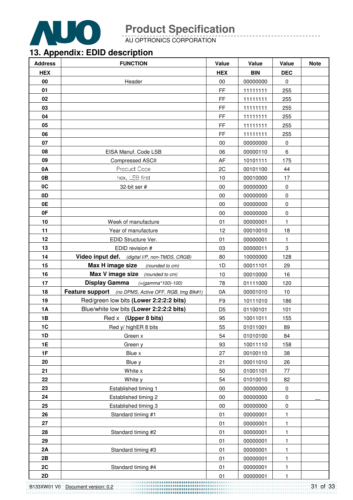![](_page_30_Picture_0.jpeg)

AU OPTRONICS CORPORATION

# **13. Appendix: EDID description**

| <b>Address</b> | <b>FUNCTION</b>                                       | Value          | Value      | Value        | <b>Note</b> |
|----------------|-------------------------------------------------------|----------------|------------|--------------|-------------|
| <b>HEX</b>     |                                                       | <b>HEX</b>     | <b>BIN</b> | <b>DEC</b>   |             |
| 00             | Header                                                | 00             | 00000000   | 0            |             |
| 01             |                                                       | <b>FF</b>      | 11111111   | 255          |             |
| 02             |                                                       | <b>FF</b>      | 11111111   | 255          |             |
| 03             |                                                       | FF             | 11111111   | 255          |             |
| 04             |                                                       | <b>FF</b>      | 11111111   | 255          |             |
| 05             |                                                       | FF             | 11111111   | 255          |             |
| 06             |                                                       | <b>FF</b>      | 11111111   | 255          |             |
| 07             |                                                       | 00             | 00000000   | 0            |             |
| 08             | EISA Manuf. Code LSB                                  | 06             | 00000110   | 6            |             |
| 09             | <b>Compressed ASCII</b>                               | AF             | 10101111   | 175          |             |
| 0A             | Product Code                                          | 2C             | 00101100   | 44           |             |
| 0B             | hex, LSB first                                        | 10             | 00010000   | 17           |             |
| 0C             | 32-bit ser #                                          | 00             | 00000000   | $\pmb{0}$    |             |
| 0D             |                                                       | 00             | 00000000   | $\pmb{0}$    |             |
| 0E             |                                                       | 00             | 00000000   | $\pmb{0}$    |             |
| 0F             |                                                       | 00             | 00000000   | $\pmb{0}$    |             |
| 10             | Week of manufacture                                   | 01             | 00000001   | $\mathbf{1}$ |             |
| 11             | Year of manufacture                                   | 12             | 00010010   | 18           |             |
| 12             | EDID Structure Ver.                                   | 01             | 00000001   | $\mathbf{1}$ |             |
| 13             | EDID revision #                                       | 03             | 00000011   | 3            |             |
| 14             | Video input def. (digital I/P, non-TMDS, CRGB)        | 80             | 10000000   | 128          |             |
| 15             | Max H image size<br>(rounded to cm)                   | 1D             | 00011101   | 29           |             |
| 16             | Max V image size<br>(rounded to cm)                   | 10             | 00010000   | 16           |             |
| 17             | <b>Display Gamma</b><br>$( = (gamma * 100) - 100)$    | 78             | 01111000   | 120          |             |
| 18             | Feature support (no DPMS, Active OFF, RGB, tmg Blk#1) | 0A             | 00001010   | 10           |             |
| 19             | Red/green low bits (Lower 2:2:2:2 bits)               | F <sub>9</sub> | 10111010   | 186          |             |
| 1A             | Blue/white low bits (Lower 2:2:2:2 bits)              | D <sub>5</sub> | 01100101   | 101          |             |
| 1B             | Red x (Upper 8 bits)                                  | 95             | 10011011   | 155          |             |
| 1C             | Red y/ highER 8 bits                                  | 55             | 01011001   | 89           |             |
| 1D             | Green x                                               | 54             | 01010100   | 84           |             |
| 1E             | Green y                                               | 93             | 10011110   | 158          |             |
| 1F             | Blue x                                                | 27             | 00100110   | 38           |             |
| 20             | Blue y                                                | 21             | 00011010   | 26           |             |
| 21             | White x                                               | 50             | 01001101   | 77           |             |
| 22             | White y                                               | 54             | 01010010   | 82           |             |
| 23             | Established timing 1                                  | 00             | 00000000   | 0            |             |
| 24             | Established timing 2                                  | $00\,$         | 00000000   | $\pmb{0}$    |             |
| 25             | Established timing 3                                  | 00             | 00000000   | $\pmb{0}$    |             |
| 26             | Standard timing #1                                    | 01             | 00000001   | 1            |             |
| 27             |                                                       | 01             | 00000001   | 1            |             |
| 28             | Standard timing #2                                    | 01             | 00000001   | 1            |             |
| 29             |                                                       | 01             | 00000001   | 1            |             |
| 2A             | Standard timing #3                                    | 01             | 00000001   | 1            |             |
| 2B             |                                                       | 01             | 00000001   | 1            |             |
| 2C             | Standard timing #4                                    | 01             | 00000001   | 1            |             |
| 2D             |                                                       | 01             | 00000001   | 1            |             |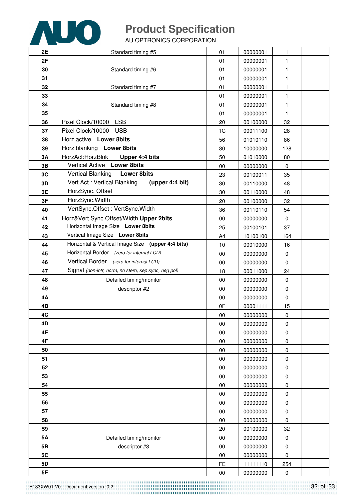![](_page_31_Picture_0.jpeg)

AU OPTRONICS CORPORATION

| 2E | Standard timing #5                                   | 01             | 00000001 | 1            |  |
|----|------------------------------------------------------|----------------|----------|--------------|--|
| 2F |                                                      | 01             | 00000001 | 1            |  |
| 30 | Standard timing #6                                   | 01             | 00000001 | 1            |  |
| 31 |                                                      | 01             | 00000001 | 1            |  |
| 32 | Standard timing #7                                   | 01             | 00000001 | 1            |  |
| 33 |                                                      | 01             | 00000001 | 1            |  |
| 34 | Standard timing #8                                   | 01             | 00000001 | $\mathbf{1}$ |  |
| 35 |                                                      | 01             | 00000001 | $\mathbf{1}$ |  |
| 36 | Pixel Clock/10000 LSB                                | 20             | 00100000 | 32           |  |
| 37 | Pixel Clock/10000 USB                                | 1 <sub>C</sub> | 00011100 | 28           |  |
| 38 | Horz active Lower 8bits                              | 56             | 01010110 | 86           |  |
| 39 | Horz blanking Lower 8bits                            | 80             | 10000000 | 128          |  |
| 3A | HorzAct:HorzBlnk<br>Upper 4:4 bits                   | 50             | 01010000 | 80           |  |
| 3B | Vertical Active Lower 8bits                          | 00             | 00000000 | 0            |  |
| 3C | Vertical Blanking<br><b>Lower 8bits</b>              | 23             | 00100011 | 35           |  |
| 3D | Vert Act: Vertical Blanking<br>(upper 4:4 bit)       | 30             | 00110000 | 48           |  |
| 3E | HorzSync. Offset                                     | 30             | 00110000 | 48           |  |
| 3F | HorzSync. Width                                      | 20             | 00100000 | 32           |  |
| 40 | VertSync.Offset: VertSync.Width                      | 36             | 00110110 | 54           |  |
| 41 | Horz‖ Sync Offset/Width Upper 2bits                  | 00             | 00000000 | 0            |  |
| 42 | Horizontal Image Size Lower 8bits                    | 25             | 00100101 | 37           |  |
| 43 | Vertical Image Size Lower 8bits                      | A4             | 10100100 | 164          |  |
| 44 | Horizontal & Vertical Image Size (upper 4:4 bits)    | 10             | 00010000 | 16           |  |
| 45 | Horizontal Border (zero for internal LCD)            | $00\,$         | 00000000 | 0            |  |
| 46 | Vertical Border (zero for internal LCD)              | 00             | 00000000 | $\mathbf 0$  |  |
| 47 | Signal (non-intr, norm, no stero, sep sync, neg pol) | 18             | 00011000 | 24           |  |
| 48 | Detailed timing/monitor                              | 00             | 00000000 | 0            |  |
| 49 | descriptor #2                                        | 00             | 00000000 | 0            |  |
| 4Α |                                                      | 00             | 00000000 | 0            |  |
| 4B |                                                      | 0F             | 00001111 | 15           |  |
| 4C |                                                      | 00             | 00000000 | 0            |  |
| 4D |                                                      | $00\,$         | 00000000 | 0            |  |
| 4E |                                                      | 00             | 00000000 | 0            |  |
| 4F |                                                      | $00\,$         | 00000000 | $\pmb{0}$    |  |
| 50 |                                                      | $00\,$         | 00000000 | 0            |  |
| 51 |                                                      | $00\,$         | 00000000 | $\pmb{0}$    |  |
| 52 |                                                      | 00             | 00000000 | $\pmb{0}$    |  |
| 53 |                                                      | 00             | 00000000 | 0            |  |
| 54 |                                                      | 00             | 00000000 | 0            |  |
| 55 |                                                      | $00\,$         | 00000000 | 0            |  |
| 56 |                                                      | $00\,$         | 00000000 | $\pmb{0}$    |  |
| 57 |                                                      | $00\,$         | 00000000 | 0            |  |
| 58 |                                                      | $00\,$         | 00000000 | 0            |  |
| 59 |                                                      | 20             | 00100000 | 32           |  |
| 5A | Detailed timing/monitor                              | $00\,$         | 00000000 | $\pmb{0}$    |  |
| 5B | descriptor #3                                        | $00\,$         | 00000000 | 0            |  |
| 5C |                                                      | $00\,$         | 00000000 | $\pmb{0}$    |  |
| 5D |                                                      | FE             | 11111110 | 254          |  |
| 5E |                                                      | $00\,$         | 00000000 | $\pmb{0}$    |  |